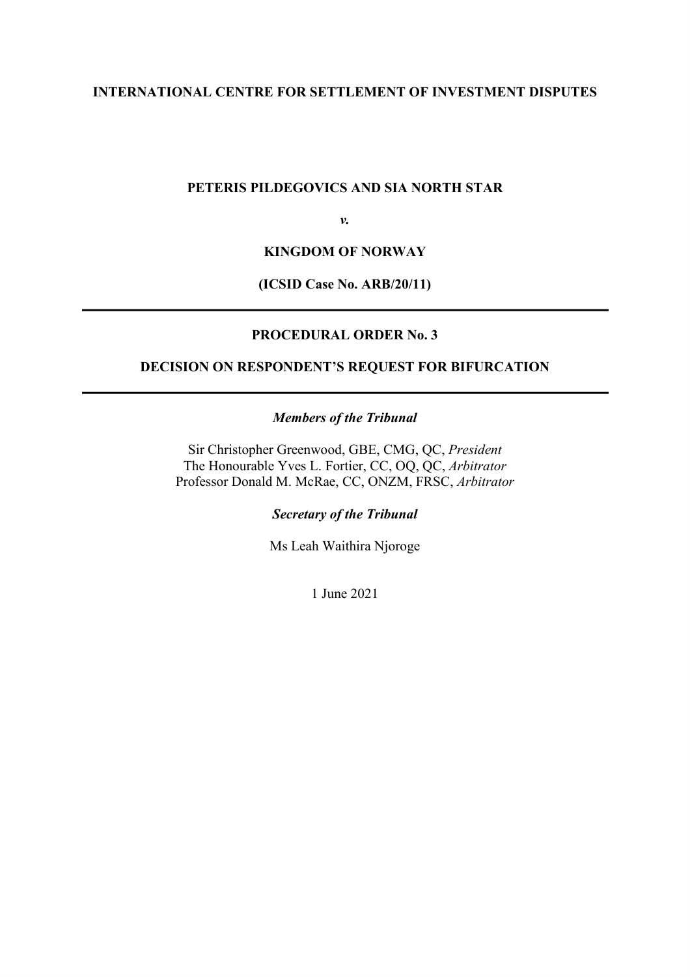### **INTERNATIONAL CENTRE FOR SETTLEMENT OF INVESTMENT DISPUTES**

#### **PETERIS PILDEGOVICS AND SIA NORTH STAR**

*v.*

#### **KINGDOM OF NORWAY**

#### **(ICSID Case No. ARB/20/11)**

#### **PROCEDURAL ORDER No. 3**

# **DECISION ON RESPONDENT'S REQUEST FOR BIFURCATION**

#### *Members of the Tribunal*

Sir Christopher Greenwood, GBE, CMG, QC, *President* The Honourable Yves L. Fortier, CC, OQ, QC, *Arbitrator* Professor Donald M. McRae, CC, ONZM, FRSC, *Arbitrator* 

*Secretary of the Tribunal*

Ms Leah Waithira Njoroge

1 June 2021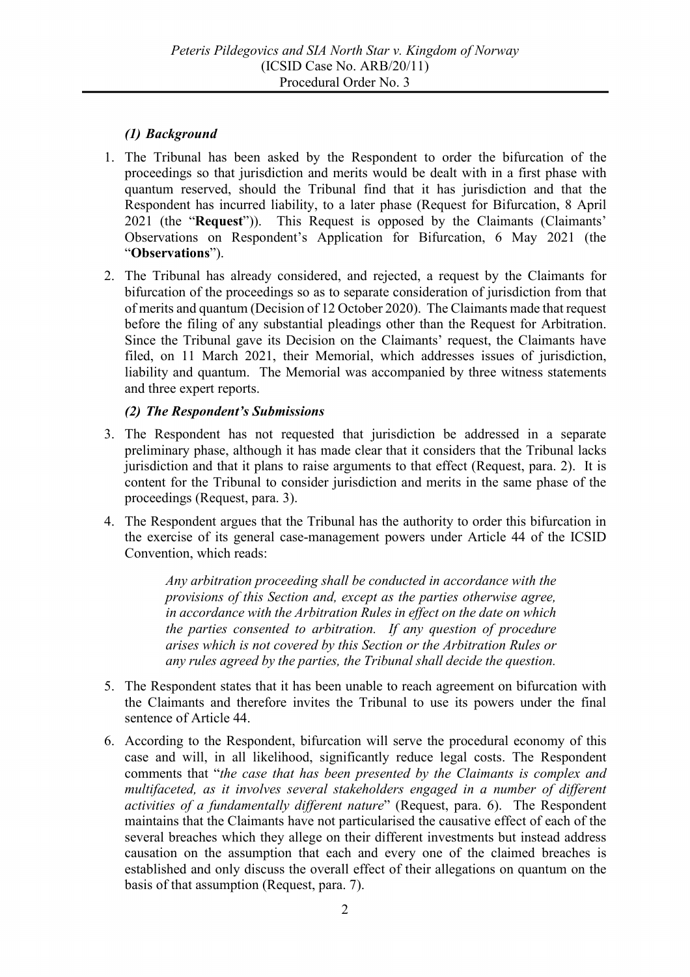## *(1) Background*

- 1. The Tribunal has been asked by the Respondent to order the bifurcation of the proceedings so that jurisdiction and merits would be dealt with in a first phase with quantum reserved, should the Tribunal find that it has jurisdiction and that the Respondent has incurred liability, to a later phase (Request for Bifurcation, 8 April 2021 (the "**Request**")). This Request is opposed by the Claimants (Claimants' Observations on Respondent's Application for Bifurcation, 6 May 2021 (the "**Observations**").
- 2. The Tribunal has already considered, and rejected, a request by the Claimants for bifurcation of the proceedings so as to separate consideration of jurisdiction from that of merits and quantum (Decision of 12 October 2020). The Claimants made that request before the filing of any substantial pleadings other than the Request for Arbitration. Since the Tribunal gave its Decision on the Claimants' request, the Claimants have filed, on 11 March 2021, their Memorial, which addresses issues of jurisdiction, liability and quantum. The Memorial was accompanied by three witness statements and three expert reports.

## *(2) The Respondent's Submissions*

- 3. The Respondent has not requested that jurisdiction be addressed in a separate preliminary phase, although it has made clear that it considers that the Tribunal lacks jurisdiction and that it plans to raise arguments to that effect (Request, para. 2). It is content for the Tribunal to consider jurisdiction and merits in the same phase of the proceedings (Request, para. 3).
- 4. The Respondent argues that the Tribunal has the authority to order this bifurcation in the exercise of its general case-management powers under Article 44 of the ICSID Convention, which reads:

*Any arbitration proceeding shall be conducted in accordance with the provisions of this Section and, except as the parties otherwise agree, in accordance with the Arbitration Rules in effect on the date on which the parties consented to arbitration. If any question of procedure arises which is not covered by this Section or the Arbitration Rules or any rules agreed by the parties, the Tribunal shall decide the question.*

- 5. The Respondent states that it has been unable to reach agreement on bifurcation with the Claimants and therefore invites the Tribunal to use its powers under the final sentence of Article 44.
- 6. According to the Respondent, bifurcation will serve the procedural economy of this case and will, in all likelihood, significantly reduce legal costs. The Respondent comments that "*the case that has been presented by the Claimants is complex and multifaceted, as it involves several stakeholders engaged in a number of different activities of a fundamentally different nature*" (Request, para. 6). The Respondent maintains that the Claimants have not particularised the causative effect of each of the several breaches which they allege on their different investments but instead address causation on the assumption that each and every one of the claimed breaches is established and only discuss the overall effect of their allegations on quantum on the basis of that assumption (Request, para. 7).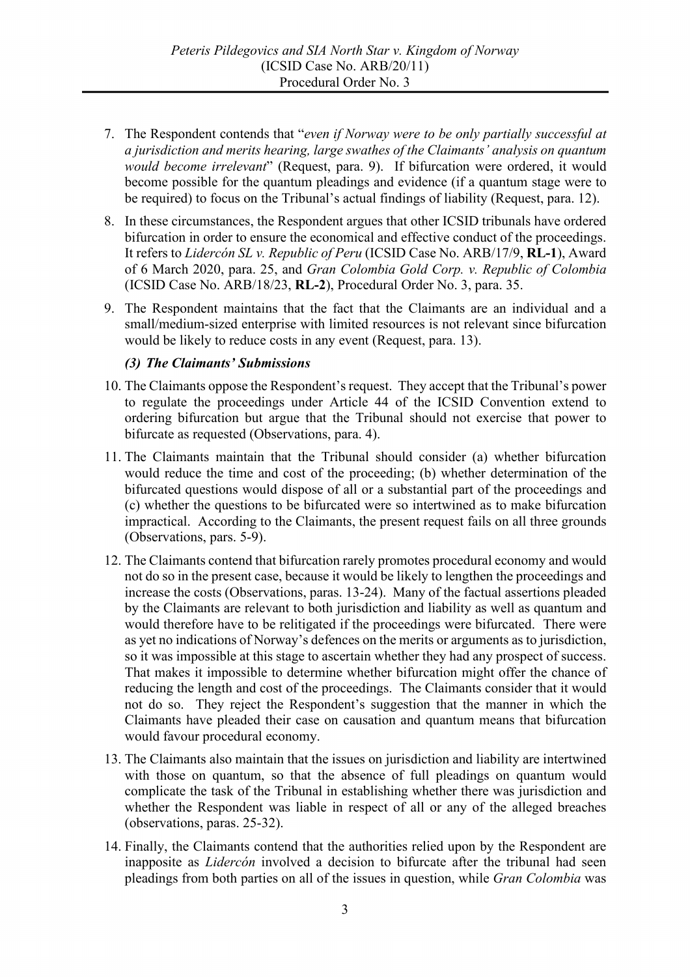- 7. The Respondent contends that "*even if Norway were to be only partially successful at a jurisdiction and merits hearing, large swathes of the Claimants' analysis on quantum would become irrelevant*" (Request, para. 9). If bifurcation were ordered, it would become possible for the quantum pleadings and evidence (if a quantum stage were to be required) to focus on the Tribunal's actual findings of liability (Request, para. 12).
- 8. In these circumstances, the Respondent argues that other ICSID tribunals have ordered bifurcation in order to ensure the economical and effective conduct of the proceedings. It refers to *Lidercón SL v. Republic of Peru* (ICSID Case No. ARB/17/9, **RL-1**), Award of 6 March 2020, para. 25, and *Gran Colombia Gold Corp. v. Republic of Colombia*  (ICSID Case No. ARB/18/23, **RL-2**), Procedural Order No. 3, para. 35.
- 9. The Respondent maintains that the fact that the Claimants are an individual and a small/medium-sized enterprise with limited resources is not relevant since bifurcation would be likely to reduce costs in any event (Request, para. 13).

### *(3) The Claimants' Submissions*

- 10. The Claimants oppose the Respondent's request. They accept that the Tribunal's power to regulate the proceedings under Article 44 of the ICSID Convention extend to ordering bifurcation but argue that the Tribunal should not exercise that power to bifurcate as requested (Observations, para. 4).
- 11. The Claimants maintain that the Tribunal should consider (a) whether bifurcation would reduce the time and cost of the proceeding; (b) whether determination of the bifurcated questions would dispose of all or a substantial part of the proceedings and (c) whether the questions to be bifurcated were so intertwined as to make bifurcation impractical. According to the Claimants, the present request fails on all three grounds (Observations, pars. 5-9).
- 12. The Claimants contend that bifurcation rarely promotes procedural economy and would not do so in the present case, because it would be likely to lengthen the proceedings and increase the costs (Observations, paras. 13-24). Many of the factual assertions pleaded by the Claimants are relevant to both jurisdiction and liability as well as quantum and would therefore have to be relitigated if the proceedings were bifurcated. There were as yet no indications of Norway's defences on the merits or arguments as to jurisdiction, so it was impossible at this stage to ascertain whether they had any prospect of success. That makes it impossible to determine whether bifurcation might offer the chance of reducing the length and cost of the proceedings. The Claimants consider that it would not do so. They reject the Respondent's suggestion that the manner in which the Claimants have pleaded their case on causation and quantum means that bifurcation would favour procedural economy.
- 13. The Claimants also maintain that the issues on jurisdiction and liability are intertwined with those on quantum, so that the absence of full pleadings on quantum would complicate the task of the Tribunal in establishing whether there was jurisdiction and whether the Respondent was liable in respect of all or any of the alleged breaches (observations, paras. 25-32).
- 14. Finally, the Claimants contend that the authorities relied upon by the Respondent are inapposite as *Lidercón* involved a decision to bifurcate after the tribunal had seen pleadings from both parties on all of the issues in question, while *Gran Colombia* was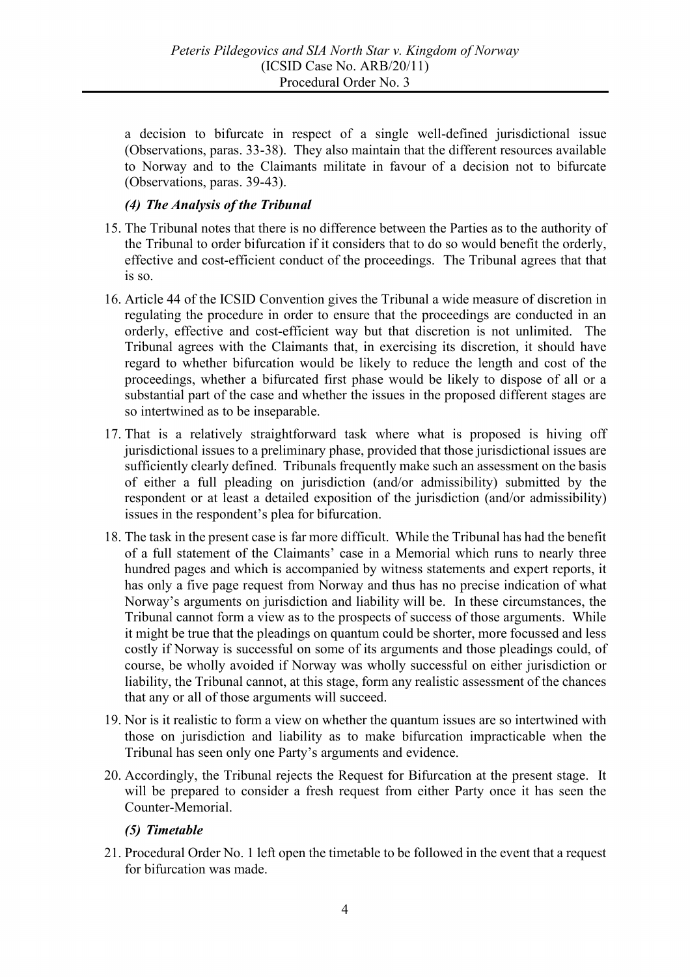a decision to bifurcate in respect of a single well-defined jurisdictional issue (Observations, paras. 33-38). They also maintain that the different resources available to Norway and to the Claimants militate in favour of a decision not to bifurcate (Observations, paras. 39-43).

## *(4) The Analysis of the Tribunal*

- 15. The Tribunal notes that there is no difference between the Parties as to the authority of the Tribunal to order bifurcation if it considers that to do so would benefit the orderly, effective and cost-efficient conduct of the proceedings. The Tribunal agrees that that is so.
- 16. Article 44 of the ICSID Convention gives the Tribunal a wide measure of discretion in regulating the procedure in order to ensure that the proceedings are conducted in an orderly, effective and cost-efficient way but that discretion is not unlimited. The Tribunal agrees with the Claimants that, in exercising its discretion, it should have regard to whether bifurcation would be likely to reduce the length and cost of the proceedings, whether a bifurcated first phase would be likely to dispose of all or a substantial part of the case and whether the issues in the proposed different stages are so intertwined as to be inseparable.
- 17. That is a relatively straightforward task where what is proposed is hiving off jurisdictional issues to a preliminary phase, provided that those jurisdictional issues are sufficiently clearly defined. Tribunals frequently make such an assessment on the basis of either a full pleading on jurisdiction (and/or admissibility) submitted by the respondent or at least a detailed exposition of the jurisdiction (and/or admissibility) issues in the respondent's plea for bifurcation.
- 18. The task in the present case is far more difficult. While the Tribunal has had the benefit of a full statement of the Claimants' case in a Memorial which runs to nearly three hundred pages and which is accompanied by witness statements and expert reports, it has only a five page request from Norway and thus has no precise indication of what Norway's arguments on jurisdiction and liability will be. In these circumstances, the Tribunal cannot form a view as to the prospects of success of those arguments. While it might be true that the pleadings on quantum could be shorter, more focussed and less costly if Norway is successful on some of its arguments and those pleadings could, of course, be wholly avoided if Norway was wholly successful on either jurisdiction or liability, the Tribunal cannot, at this stage, form any realistic assessment of the chances that any or all of those arguments will succeed.
- 19. Nor is it realistic to form a view on whether the quantum issues are so intertwined with those on jurisdiction and liability as to make bifurcation impracticable when the Tribunal has seen only one Party's arguments and evidence.
- 20. Accordingly, the Tribunal rejects the Request for Bifurcation at the present stage. It will be prepared to consider a fresh request from either Party once it has seen the Counter-Memorial.

### *(5) Timetable*

21. Procedural Order No. 1 left open the timetable to be followed in the event that a request for bifurcation was made.